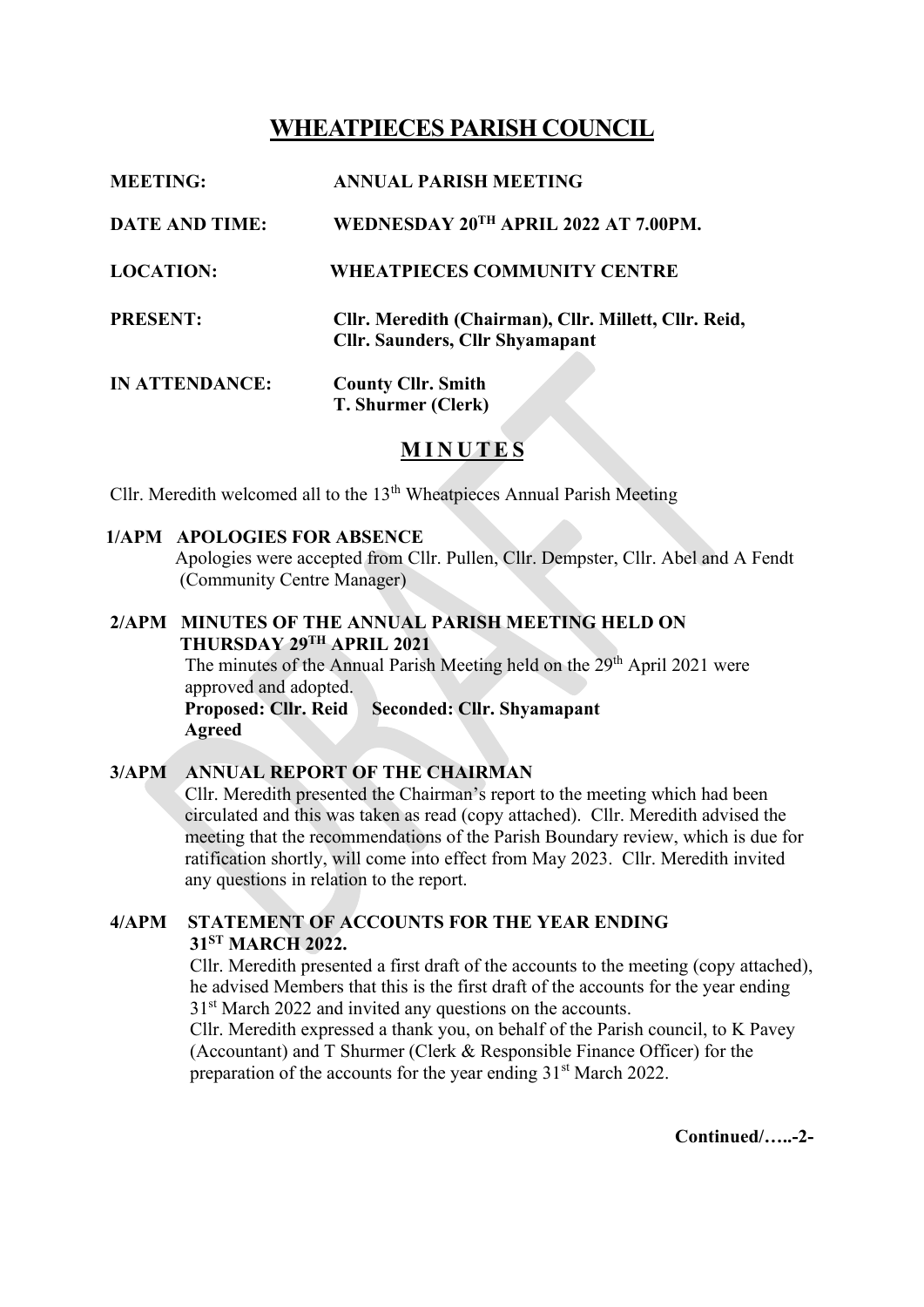# **WHEATPIECES PARISH COUNCIL**

| <b>MEETING:</b>       | <b>ANNUAL PARISH MEETING</b>                                                                    |
|-----------------------|-------------------------------------------------------------------------------------------------|
| <b>DATE AND TIME:</b> | WEDNESDAY 20TH APRIL 2022 AT 7.00PM.                                                            |
| <b>LOCATION:</b>      | <b>WHEATPIECES COMMUNITY CENTRE</b>                                                             |
| <b>PRESENT:</b>       | Cllr. Meredith (Chairman), Cllr. Millett, Cllr. Reid,<br><b>Cllr. Saunders, Cllr Shyamapant</b> |
| <b>IN ATTENDANCE:</b> | <b>County Cllr. Smith</b><br>T. Shurmer (Clerk)                                                 |

## **M I N U T E S**

Cllr. Meredith welcomed all to the  $13<sup>th</sup>$  Wheatpieces Annual Parish Meeting

#### **1/APM APOLOGIES FOR ABSENCE**

 Apologies were accepted from Cllr. Pullen, Cllr. Dempster, Cllr. Abel and A Fendt (Community Centre Manager)

**2/APM MINUTES OF THE ANNUAL PARISH MEETING HELD ON THURSDAY 29 TH APRIL 2021**

> The minutes of the Annual Parish Meeting held on the 29<sup>th</sup> April 2021 were approved and adopted.

 **Proposed: Cllr. Reid Seconded: Cllr. Shyamapant Agreed**

### **3/APM ANNUAL REPORT OF THE CHAIRMAN**

Cllr. Meredith presented the Chairman's report to the meeting which had been circulated and this was taken as read (copy attached). Cllr. Meredith advised the meeting that the recommendations of the Parish Boundary review, which is due for ratification shortly, will come into effect from May 2023. Cllr. Meredith invited any questions in relation to the report.

### **4/APM STATEMENT OF ACCOUNTS FOR THE YEAR ENDING 31ST MARCH 2022.**

 Cllr. Meredith presented a first draft of the accounts to the meeting (copy attached), he advised Members that this is the first draft of the accounts for the year ending 31<sup>st</sup> March 2022 and invited any questions on the accounts.

 Cllr. Meredith expressed a thank you, on behalf of the Parish council, to K Pavey (Accountant) and T Shurmer (Clerk & Responsible Finance Officer) for the preparation of the accounts for the year ending 31<sup>st</sup> March 2022.

**Continued/…..-2-**